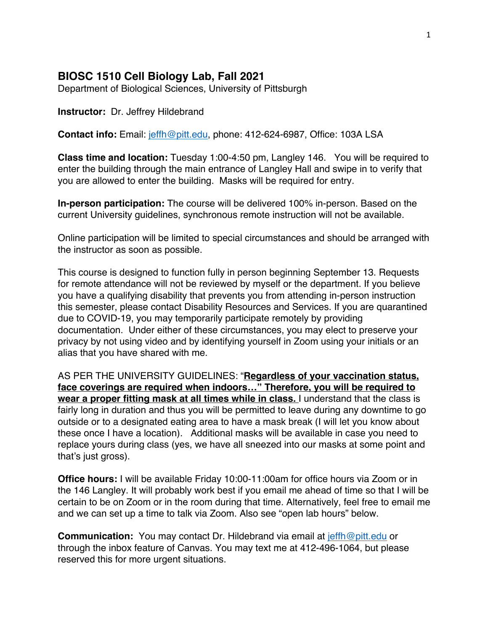## **BIOSC 1510 Cell Biology Lab, Fall 2021**

Department of Biological Sciences, University of Pittsburgh

#### **Instructor:** Dr. Jeffrey Hildebrand

**Contact info:** Email: jeffh@pitt.edu, phone: 412-624-6987, Office: 103A LSA

**Class time and location:** Tuesday 1:00-4:50 pm, Langley 146. You will be required to enter the building through the main entrance of Langley Hall and swipe in to verify that you are allowed to enter the building. Masks will be required for entry.

**In-person participation:** The course will be delivered 100% in-person. Based on the current University guidelines, synchronous remote instruction will not be available.

Online participation will be limited to special circumstances and should be arranged with the instructor as soon as possible.

This course is designed to function fully in person beginning September 13. Requests for remote attendance will not be reviewed by myself or the department. If you believe you have a qualifying disability that prevents you from attending in-person instruction this semester, please contact Disability Resources and Services. If you are quarantined due to COVID-19, you may temporarily participate remotely by providing documentation. Under either of these circumstances, you may elect to preserve your privacy by not using video and by identifying yourself in Zoom using your initials or an alias that you have shared with me.

AS PER THE UNIVERSITY GUIDELINES: "**Regardless of your vaccination status, face coverings are required when indoors…" Therefore, you will be required to wear a proper fitting mask at all times while in class.** I understand that the class is fairly long in duration and thus you will be permitted to leave during any downtime to go outside or to a designated eating area to have a mask break (I will let you know about these once I have a location). Additional masks will be available in case you need to replace yours during class (yes, we have all sneezed into our masks at some point and that's just gross).

**Office hours:** I will be available Friday 10:00-11:00am for office hours via Zoom or in the 146 Langley. It will probably work best if you email me ahead of time so that I will be certain to be on Zoom or in the room during that time. Alternatively, feel free to email me and we can set up a time to talk via Zoom. Also see "open lab hours" below.

**Communication:** You may contact Dr. Hildebrand via email at jeffh@pitt.edu or through the inbox feature of Canvas. You may text me at 412-496-1064, but please reserved this for more urgent situations.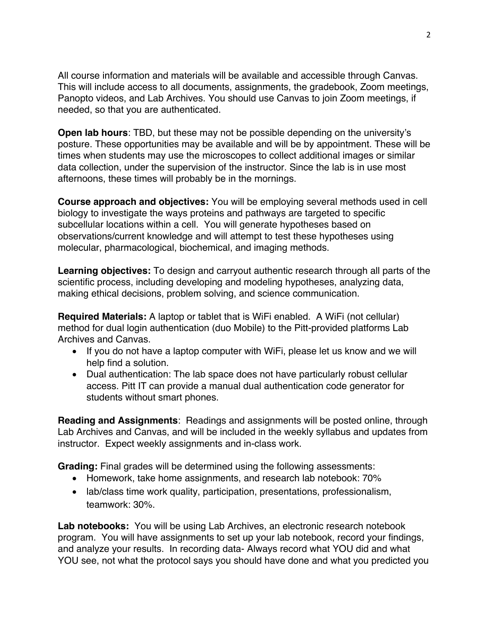All course information and materials will be available and accessible through Canvas. This will include access to all documents, assignments, the gradebook, Zoom meetings, Panopto videos, and Lab Archives. You should use Canvas to join Zoom meetings, if needed, so that you are authenticated.

**Open lab hours**: TBD, but these may not be possible depending on the university's posture. These opportunities may be available and will be by appointment. These will be times when students may use the microscopes to collect additional images or similar data collection, under the supervision of the instructor. Since the lab is in use most afternoons, these times will probably be in the mornings.

**Course approach and objectives:** You will be employing several methods used in cell biology to investigate the ways proteins and pathways are targeted to specific subcellular locations within a cell. You will generate hypotheses based on observations/current knowledge and will attempt to test these hypotheses using molecular, pharmacological, biochemical, and imaging methods.

**Learning objectives:** To design and carryout authentic research through all parts of the scientific process, including developing and modeling hypotheses, analyzing data, making ethical decisions, problem solving, and science communication.

**Required Materials:** A laptop or tablet that is WiFi enabled. A WiFi (not cellular) method for dual login authentication (duo Mobile) to the Pitt-provided platforms Lab Archives and Canvas.

- If you do not have a laptop computer with WiFi, please let us know and we will help find a solution.
- Dual authentication: The lab space does not have particularly robust cellular access. Pitt IT can provide a manual dual authentication code generator for students without smart phones.

**Reading and Assignments**: Readings and assignments will be posted online, through Lab Archives and Canvas, and will be included in the weekly syllabus and updates from instructor. Expect weekly assignments and in-class work.

**Grading:** Final grades will be determined using the following assessments:

- Homework, take home assignments, and research lab notebook: 70%
- lab/class time work quality, participation, presentations, professionalism, teamwork: 30%.

**Lab notebooks:** You will be using Lab Archives, an electronic research notebook program. You will have assignments to set up your lab notebook, record your findings, and analyze your results. In recording data- Always record what YOU did and what YOU see, not what the protocol says you should have done and what you predicted you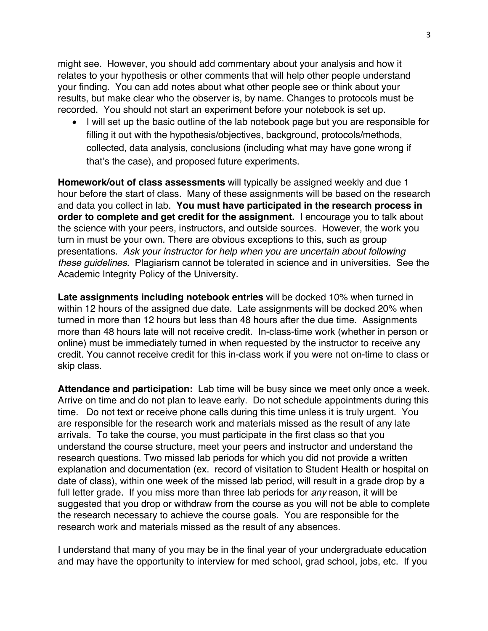might see. However, you should add commentary about your analysis and how it relates to your hypothesis or other comments that will help other people understand your finding. You can add notes about what other people see or think about your results, but make clear who the observer is, by name. Changes to protocols must be recorded. You should not start an experiment before your notebook is set up.

• I will set up the basic outline of the lab notebook page but you are responsible for filling it out with the hypothesis/objectives, background, protocols/methods, collected, data analysis, conclusions (including what may have gone wrong if that's the case), and proposed future experiments.

**Homework/out of class assessments** will typically be assigned weekly and due 1 hour before the start of class. Many of these assignments will be based on the research and data you collect in lab. **You must have participated in the research process in order to complete and get credit for the assignment.** I encourage you to talk about the science with your peers, instructors, and outside sources. However, the work you turn in must be your own. There are obvious exceptions to this, such as group presentations. *Ask your instructor for help when you are uncertain about following these guidelines.* Plagiarism cannot be tolerated in science and in universities. See the Academic Integrity Policy of the University.

**Late assignments including notebook entries** will be docked 10% when turned in within 12 hours of the assigned due date. Late assignments will be docked 20% when turned in more than 12 hours but less than 48 hours after the due time. Assignments more than 48 hours late will not receive credit. In-class-time work (whether in person or online) must be immediately turned in when requested by the instructor to receive any credit. You cannot receive credit for this in-class work if you were not on-time to class or skip class.

**Attendance and participation:** Lab time will be busy since we meet only once a week. Arrive on time and do not plan to leave early. Do not schedule appointments during this time. Do not text or receive phone calls during this time unless it is truly urgent. You are responsible for the research work and materials missed as the result of any late arrivals. To take the course, you must participate in the first class so that you understand the course structure, meet your peers and instructor and understand the research questions. Two missed lab periods for which you did not provide a written explanation and documentation (ex. record of visitation to Student Health or hospital on date of class), within one week of the missed lab period, will result in a grade drop by a full letter grade. If you miss more than three lab periods for *any* reason, it will be suggested that you drop or withdraw from the course as you will not be able to complete the research necessary to achieve the course goals. You are responsible for the research work and materials missed as the result of any absences.

I understand that many of you may be in the final year of your undergraduate education and may have the opportunity to interview for med school, grad school, jobs, etc. If you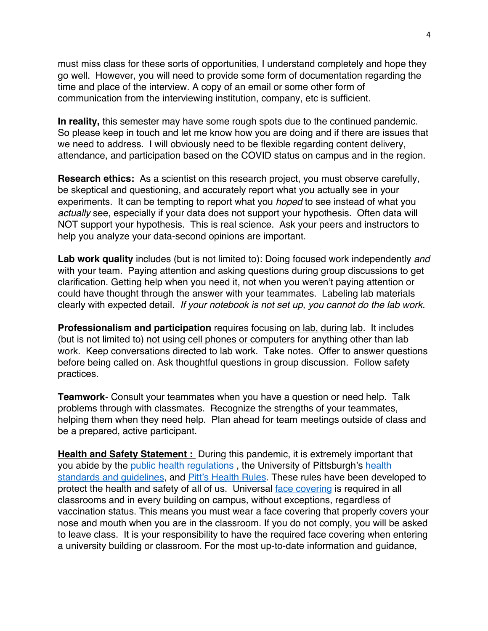must miss class for these sorts of opportunities, I understand completely and hope they go well. However, you will need to provide some form of documentation regarding the time and place of the interview. A copy of an email or some other form of communication from the interviewing institution, company, etc is sufficient.

**In reality,** this semester may have some rough spots due to the continued pandemic. So please keep in touch and let me know how you are doing and if there are issues that we need to address. I will obviously need to be flexible regarding content delivery, attendance, and participation based on the COVID status on campus and in the region.

**Research ethics:** As a scientist on this research project, you must observe carefully, be skeptical and questioning, and accurately report what you actually see in your experiments. It can be tempting to report what you *hoped* to see instead of what you *actually* see, especially if your data does not support your hypothesis. Often data will NOT support your hypothesis. This is real science. Ask your peers and instructors to help you analyze your data-second opinions are important.

**Lab work quality** includes (but is not limited to): Doing focused work independently *and* with your team. Paying attention and asking questions during group discussions to get clarification. Getting help when you need it, not when you weren't paying attention or could have thought through the answer with your teammates. Labeling lab materials clearly with expected detail. *If your notebook is not set up, you cannot do the lab work.*

**Professionalism and participation** requires focusing on lab, during lab. It includes (but is not limited to) not using cell phones or computers for anything other than lab work. Keep conversations directed to lab work. Take notes. Offer to answer questions before being called on. Ask thoughtful questions in group discussion. Follow safety practices.

**Teamwork**- Consult your teammates when you have a question or need help. Talk problems through with classmates. Recognize the strengths of your teammates, helping them when they need help. Plan ahead for team meetings outside of class and be a prepared, active participant.

**Health and Safety Statement :** During this pandemic, it is extremely important that you abide by the public health regulations , the University of Pittsburgh's health standards and guidelines, and Pitt's Health Rules. These rules have been developed to protect the health and safety of all of us. Universal face covering is required in all classrooms and in every building on campus, without exceptions, regardless of vaccination status. This means you must wear a face covering that properly covers your nose and mouth when you are in the classroom. If you do not comply, you will be asked to leave class. It is your responsibility to have the required face covering when entering a university building or classroom. For the most up-to-date information and guidance,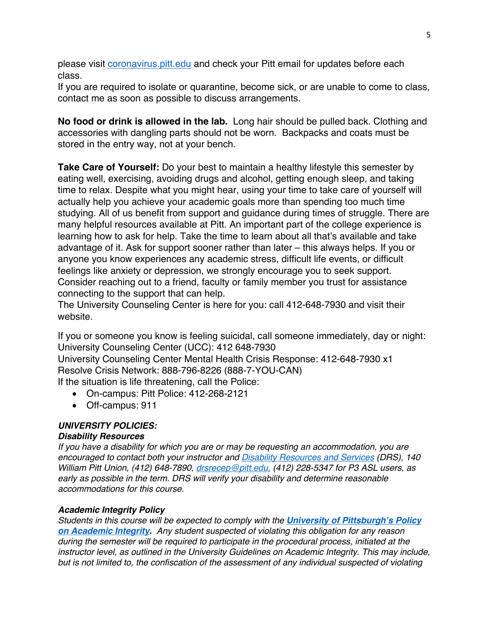please visit *coronavirus.pitt.edu* and check your Pitt email for updates before each class.

If you are required to isolate or quarantine, become sick, or are unable to come to class, contact me as soon as possible to discuss arrangements.

**No food or drink is allowed in the lab.** Long hair should be pulled back. Clothing and accessories with dangling parts should not be worn. Backpacks and coats must be stored in the entry way, not at your bench.

**Take Care of Yourself:** Do your best to maintain a healthy lifestyle this semester by eating well, exercising, avoiding drugs and alcohol, getting enough sleep, and taking time to relax. Despite what you might hear, using your time to take care of yourself will actually help you achieve your academic goals more than spending too much time studying. All of us benefit from support and guidance during times of struggle. There are many helpful resources available at Pitt. An important part of the college experience is learning how to ask for help. Take the time to learn about all that's available and take advantage of it. Ask for support sooner rather than later – this always helps. If you or anyone you know experiences any academic stress, difficult life events, or difficult feelings like anxiety or depression, we strongly encourage you to seek support. Consider reaching out to a friend, faculty or family member you trust for assistance connecting to the support that can help.

The University Counseling Center is here for you: call 412-648-7930 and visit their website.

If you or someone you know is feeling suicidal, call someone immediately, day or night: University Counseling Center (UCC): 412 648-7930 University Counseling Center Mental Health Crisis Response: 412-648-7930 x1 Resolve Crisis Network: 888-796-8226 (888-7-YOU-CAN) If the situation is life threatening, call the Police:

- On-campus: Pitt Police: 412-268-2121
- Off-campus: 911

## *UNIVERSITY POLICIES:*

## *Disability Resources*

*If you have a disability for which you are or may be requesting an accommodation, you are encouraged to contact both your instructor and Disability Resources and Services (DRS), 140 William Pitt Union, (412) 648-7890, drsrecep@pitt.edu, (412) 228-5347 for P3 ASL users, as early as possible in the term. DRS will verify your disability and determine reasonable accommodations for this course.*

## *Academic Integrity Policy*

*Students in this course will be expected to comply with the University of Pittsburgh's Policy on Academic Integrity. Any student suspected of violating this obligation for any reason during the semester will be required to participate in the procedural process, initiated at the instructor level, as outlined in the University Guidelines on Academic Integrity. This may include, but is not limited to, the confiscation of the assessment of any individual suspected of violating*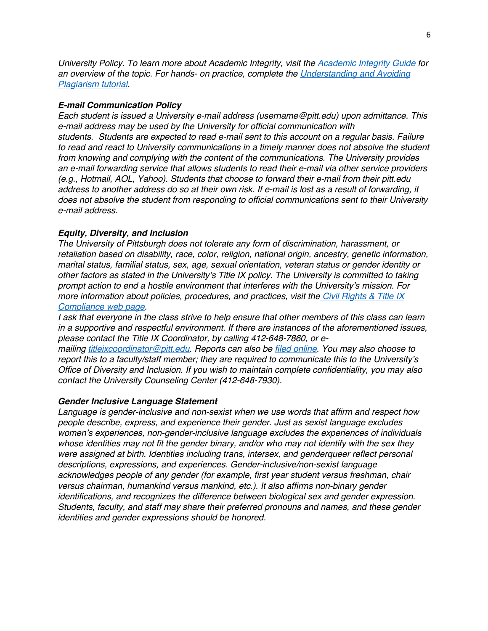*University Policy. To learn more about Academic Integrity, visit the Academic Integrity Guide for an overview of the topic. For hands- on practice, complete the Understanding and Avoiding Plagiarism tutorial.*

#### *E-mail Communication Policy*

*Each student is issued a University e-mail address (username@pitt.edu) upon admittance. This e-mail address may be used by the University for official communication with students. Students are expected to read e-mail sent to this account on a regular basis. Failure to read and react to University communications in a timely manner does not absolve the student from knowing and complying with the content of the communications. The University provides an e-mail forwarding service that allows students to read their e-mail via other service providers (e.g., Hotmail, AOL, Yahoo). Students that choose to forward their e-mail from their pitt.edu address to another address do so at their own risk. If e-mail is lost as a result of forwarding, it does not absolve the student from responding to official communications sent to their University e-mail address.*

#### *Equity, Diversity, and Inclusion*

*The University of Pittsburgh does not tolerate any form of discrimination, harassment, or retaliation based on disability, race, color, religion, national origin, ancestry, genetic information, marital status, familial status, sex, age, sexual orientation, veteran status or gender identity or other factors as stated in the University's Title IX policy. The University is committed to taking prompt action to end a hostile environment that interferes with the University's mission. For more information about policies, procedures, and practices, visit the Civil Rights & Title IX Compliance web page.*

*I ask that everyone in the class strive to help ensure that other members of this class can learn in a supportive and respectful environment. If there are instances of the aforementioned issues, please contact the Title IX Coordinator, by calling 412-648-7860, or e-*

*mailing titleixcoordinator@pitt.edu. Reports can also be filed online. You may also choose to report this to a faculty/staff member; they are required to communicate this to the University's Office of Diversity and Inclusion. If you wish to maintain complete confidentiality, you may also contact the University Counseling Center (412-648-7930).*

#### *Gender Inclusive Language Statement*

*Language is gender-inclusive and non-sexist when we use words that affirm and respect how people describe, express, and experience their gender. Just as sexist language excludes women's experiences, non-gender-inclusive language excludes the experiences of individuals whose identities may not fit the gender binary, and/or who may not identify with the sex they were assigned at birth. Identities including trans, intersex, and genderqueer reflect personal descriptions, expressions, and experiences. Gender-inclusive/non-sexist language acknowledges people of any gender (for example, first year student versus freshman, chair versus chairman, humankind versus mankind, etc.). It also affirms non-binary gender identifications, and recognizes the difference between biological sex and gender expression. Students, faculty, and staff may share their preferred pronouns and names, and these gender identities and gender expressions should be honored.*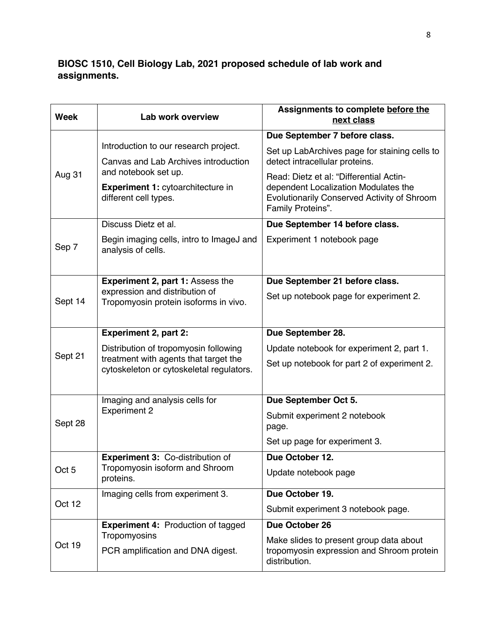# **BIOSC 1510, Cell Biology Lab, 2021 proposed schedule of lab work and assignments.**

| <b>Week</b>      | Lab work overview                                                                                                          | Assignments to complete before the<br>next class                                                                                                    |
|------------------|----------------------------------------------------------------------------------------------------------------------------|-----------------------------------------------------------------------------------------------------------------------------------------------------|
| Aug 31           | Introduction to our research project.<br>Canvas and Lab Archives introduction                                              | Due September 7 before class.                                                                                                                       |
|                  |                                                                                                                            | Set up LabArchives page for staining cells to<br>detect intracellular proteins.                                                                     |
|                  | and notebook set up.<br>Experiment 1: cytoarchitecture in<br>different cell types.                                         | Read: Dietz et al: "Differential Actin-<br>dependent Localization Modulates the<br>Evolutionarily Conserved Activity of Shroom<br>Family Proteins". |
|                  | Discuss Dietz et al.                                                                                                       | Due September 14 before class.                                                                                                                      |
| Sep 7            | Begin imaging cells, intro to ImageJ and<br>analysis of cells.                                                             | Experiment 1 notebook page                                                                                                                          |
| Sept 14          | <b>Experiment 2, part 1: Assess the</b><br>expression and distribution of<br>Tropomyosin protein isoforms in vivo.         | Due September 21 before class.                                                                                                                      |
|                  |                                                                                                                            | Set up notebook page for experiment 2.                                                                                                              |
|                  | <b>Experiment 2, part 2:</b>                                                                                               | Due September 28.                                                                                                                                   |
| Sept 21          | Distribution of tropomyosin following<br>treatment with agents that target the<br>cytoskeleton or cytoskeletal regulators. | Update notebook for experiment 2, part 1.                                                                                                           |
|                  |                                                                                                                            | Set up notebook for part 2 of experiment 2.                                                                                                         |
| Sept 28          | Imaging and analysis cells for<br><b>Experiment 2</b>                                                                      | Due September Oct 5.                                                                                                                                |
|                  |                                                                                                                            | Submit experiment 2 notebook<br>page.                                                                                                               |
|                  |                                                                                                                            | Set up page for experiment 3.                                                                                                                       |
| Oct <sub>5</sub> | Experiment 3: Co-distribution of<br>Tropomyosin isoform and Shroom<br>proteins.                                            | Due October 12.                                                                                                                                     |
|                  |                                                                                                                            | Update notebook page                                                                                                                                |
| Oct 12           | Imaging cells from experiment 3.                                                                                           | Due October 19.                                                                                                                                     |
|                  |                                                                                                                            | Submit experiment 3 notebook page.                                                                                                                  |
| Oct 19           | <b>Experiment 4: Production of tagged</b>                                                                                  | Due October 26                                                                                                                                      |
|                  | Tropomyosins<br>PCR amplification and DNA digest.                                                                          | Make slides to present group data about<br>tropomyosin expression and Shroom protein<br>distribution.                                               |